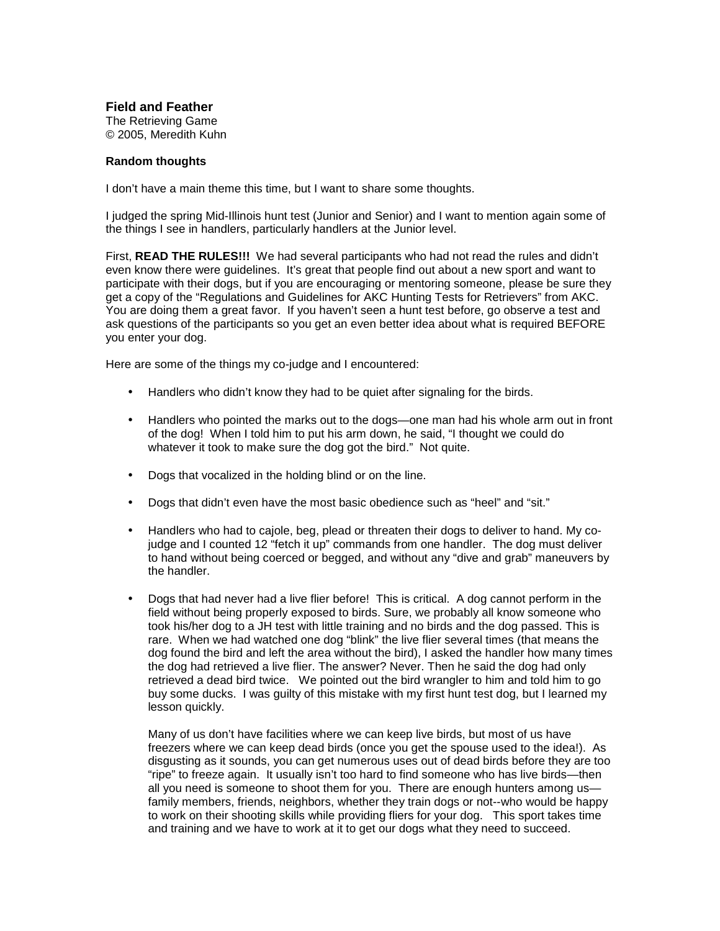**Field and Feather** The Retrieving Game © 2005, Meredith Kuhn

## **Random thoughts**

I don't have a main theme this time, but I want to share some thoughts.

I judged the spring Mid-Illinois hunt test (Junior and Senior) and I want to mention again some of the things I see in handlers, particularly handlers at the Junior level.

First, **READ THE RULES!!!** We had several participants who had not read the rules and didn't even know there were guidelines. It's great that people find out about a new sport and want to participate with their dogs, but if you are encouraging or mentoring someone, please be sure they get a copy of the "Regulations and Guidelines for AKC Hunting Tests for Retrievers" from AKC. You are doing them a great favor. If you haven't seen a hunt test before, go observe a test and ask questions of the participants so you get an even better idea about what is required BEFORE you enter your dog.

Here are some of the things my co-judge and I encountered:

- Handlers who didn't know they had to be quiet after signaling for the birds.
- Handlers who pointed the marks out to the dogs—one man had his whole arm out in front of the dog! When I told him to put his arm down, he said, "I thought we could do whatever it took to make sure the dog got the bird." Not quite.
- Dogs that vocalized in the holding blind or on the line.
- Dogs that didn't even have the most basic obedience such as "heel" and "sit."
- Handlers who had to cajole, beg, plead or threaten their dogs to deliver to hand. My cojudge and I counted 12 "fetch it up" commands from one handler. The dog must deliver to hand without being coerced or begged, and without any "dive and grab" maneuvers by the handler.
- Dogs that had never had a live flier before! This is critical. A dog cannot perform in the field without being properly exposed to birds. Sure, we probably all know someone who took his/her dog to a JH test with little training and no birds and the dog passed. This is rare. When we had watched one dog "blink" the live flier several times (that means the dog found the bird and left the area without the bird), I asked the handler how many times the dog had retrieved a live flier. The answer? Never. Then he said the dog had only retrieved a dead bird twice. We pointed out the bird wrangler to him and told him to go buy some ducks. I was guilty of this mistake with my first hunt test dog, but I learned my lesson quickly.

Many of us don't have facilities where we can keep live birds, but most of us have freezers where we can keep dead birds (once you get the spouse used to the idea!). As disgusting as it sounds, you can get numerous uses out of dead birds before they are too "ripe" to freeze again. It usually isn't too hard to find someone who has live birds—then all you need is someone to shoot them for you. There are enough hunters among us family members, friends, neighbors, whether they train dogs or not--who would be happy to work on their shooting skills while providing fliers for your dog. This sport takes time and training and we have to work at it to get our dogs what they need to succeed.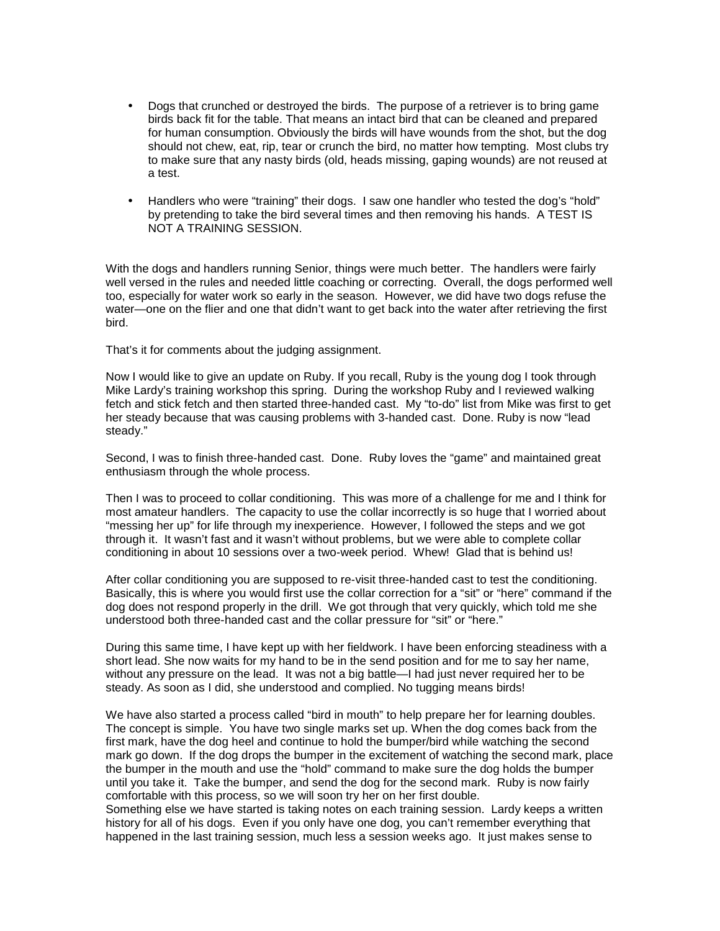- Dogs that crunched or destroyed the birds. The purpose of a retriever is to bring game birds back fit for the table. That means an intact bird that can be cleaned and prepared for human consumption. Obviously the birds will have wounds from the shot, but the dog should not chew, eat, rip, tear or crunch the bird, no matter how tempting. Most clubs try to make sure that any nasty birds (old, heads missing, gaping wounds) are not reused at a test.
- Handlers who were "training" their dogs. I saw one handler who tested the dog's "hold" by pretending to take the bird several times and then removing his hands. A TEST IS NOT A TRAINING SESSION.

With the dogs and handlers running Senior, things were much better. The handlers were fairly well versed in the rules and needed little coaching or correcting. Overall, the dogs performed well too, especially for water work so early in the season. However, we did have two dogs refuse the water—one on the flier and one that didn't want to get back into the water after retrieving the first bird.

That's it for comments about the judging assignment.

Now I would like to give an update on Ruby. If you recall, Ruby is the young dog I took through Mike Lardy's training workshop this spring. During the workshop Ruby and I reviewed walking fetch and stick fetch and then started three-handed cast. My "to-do" list from Mike was first to get her steady because that was causing problems with 3-handed cast. Done. Ruby is now "lead steady."

Second, I was to finish three-handed cast. Done. Ruby loves the "game" and maintained great enthusiasm through the whole process.

Then I was to proceed to collar conditioning. This was more of a challenge for me and I think for most amateur handlers. The capacity to use the collar incorrectly is so huge that I worried about "messing her up" for life through my inexperience. However, I followed the steps and we got through it. It wasn't fast and it wasn't without problems, but we were able to complete collar conditioning in about 10 sessions over a two-week period. Whew! Glad that is behind us!

After collar conditioning you are supposed to re-visit three-handed cast to test the conditioning. Basically, this is where you would first use the collar correction for a "sit" or "here" command if the dog does not respond properly in the drill. We got through that very quickly, which told me she understood both three-handed cast and the collar pressure for "sit" or "here."

During this same time, I have kept up with her fieldwork. I have been enforcing steadiness with a short lead. She now waits for my hand to be in the send position and for me to say her name, without any pressure on the lead. It was not a big battle—I had just never required her to be steady. As soon as I did, she understood and complied. No tugging means birds!

We have also started a process called "bird in mouth" to help prepare her for learning doubles. The concept is simple. You have two single marks set up. When the dog comes back from the first mark, have the dog heel and continue to hold the bumper/bird while watching the second mark go down. If the dog drops the bumper in the excitement of watching the second mark, place the bumper in the mouth and use the "hold" command to make sure the dog holds the bumper until you take it. Take the bumper, and send the dog for the second mark. Ruby is now fairly comfortable with this process, so we will soon try her on her first double.

Something else we have started is taking notes on each training session. Lardy keeps a written history for all of his dogs. Even if you only have one dog, you can't remember everything that happened in the last training session, much less a session weeks ago. It just makes sense to